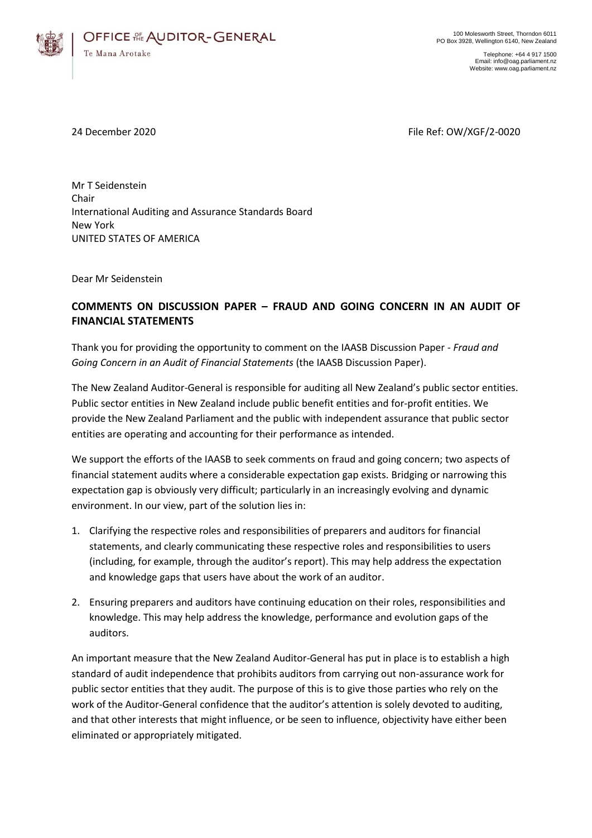

Telephone: +64 4 917 1500 Email: info@oag.parliament.nz Website: www.oag.parliament.nz

24 December 2020 **File Ref: OW/XGF/2-0020** File Ref: OW/XGF/2-0020

Mr T Seidenstein Chair International Auditing and Assurance Standards Board New York UNITED STATES OF AMERICA

Dear Mr Seidenstein

# **COMMENTS ON DISCUSSION PAPER – FRAUD AND GOING CONCERN IN AN AUDIT OF FINANCIAL STATEMENTS**

Thank you for providing the opportunity to comment on the IAASB Discussion Paper *- Fraud and Going Concern in an Audit of Financial Statements* (the IAASB Discussion Paper).

The New Zealand Auditor-General is responsible for auditing all New Zealand's public sector entities. Public sector entities in New Zealand include public benefit entities and for-profit entities. We provide the New Zealand Parliament and the public with independent assurance that public sector entities are operating and accounting for their performance as intended.

We support the efforts of the IAASB to seek comments on fraud and going concern; two aspects of financial statement audits where a considerable expectation gap exists. Bridging or narrowing this expectation gap is obviously very difficult; particularly in an increasingly evolving and dynamic environment. In our view, part of the solution lies in:

- 1. Clarifying the respective roles and responsibilities of preparers and auditors for financial statements, and clearly communicating these respective roles and responsibilities to users (including, for example, through the auditor's report). This may help address the expectation and knowledge gaps that users have about the work of an auditor.
- 2. Ensuring preparers and auditors have continuing education on their roles, responsibilities and knowledge. This may help address the knowledge, performance and evolution gaps of the auditors.

An important measure that the New Zealand Auditor-General has put in place is to establish a high standard of audit independence that prohibits auditors from carrying out non-assurance work for public sector entities that they audit. The purpose of this is to give those parties who rely on the work of the Auditor-General confidence that the auditor's attention is solely devoted to auditing, and that other interests that might influence, or be seen to influence, objectivity have either been eliminated or appropriately mitigated.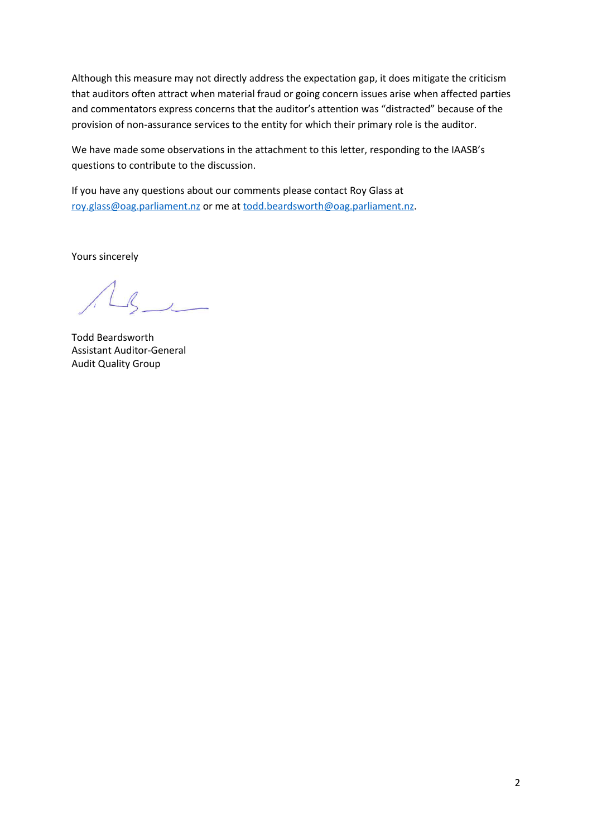Although this measure may not directly address the expectation gap, it does mitigate the criticism that auditors often attract when material fraud or going concern issues arise when affected parties and commentators express concerns that the auditor's attention was "distracted" because of the provision of non-assurance services to the entity for which their primary role is the auditor.

We have made some observations in the attachment to this letter, responding to the IAASB's questions to contribute to the discussion.

If you have any questions about our comments please contact Roy Glass at [roy.glass@oag.parliament.nz](mailto:roy.glass@oag.parliament.nz) or me at [todd.beardsworth@oag.parliament.nz.](mailto:todd.beardsworth@oag.parliament.nz)

Yours sincerely

 $\mathcal{R}$ 

Todd Beardsworth Assistant Auditor-General Audit Quality Group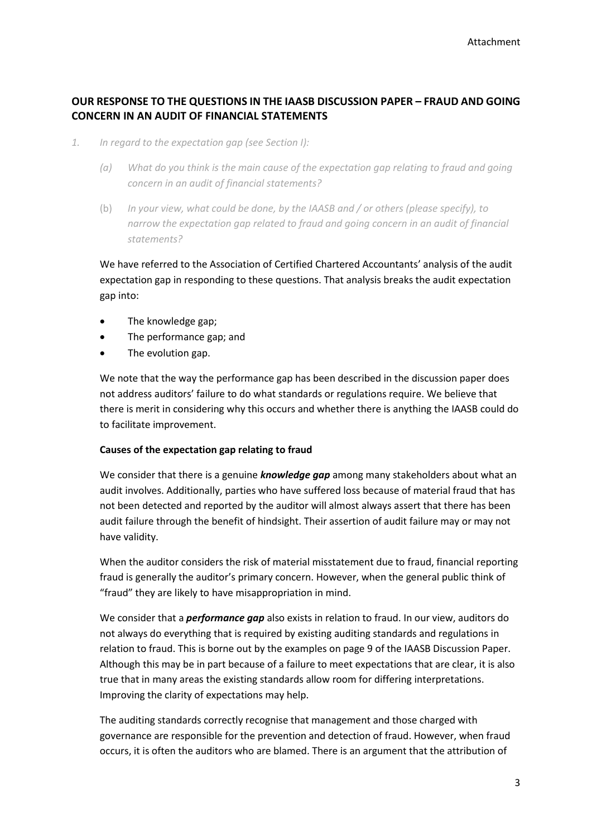# **OUR RESPONSE TO THE QUESTIONS IN THE IAASB DISCUSSION PAPER – FRAUD AND GOING CONCERN IN AN AUDIT OF FINANCIAL STATEMENTS**

- *1. In regard to the expectation gap (see Section I):*
	- *(a) What do you think is the main cause of the expectation gap relating to fraud and going concern in an audit of financial statements?*
	- (b) *In your view, what could be done, by the IAASB and / or others (please specify), to narrow the expectation gap related to fraud and going concern in an audit of financial statements?*

We have referred to the Association of Certified Chartered Accountants' analysis of the audit expectation gap in responding to these questions. That analysis breaks the audit expectation gap into:

- The knowledge gap;
- The performance gap; and
- The evolution gap.

We note that the way the performance gap has been described in the discussion paper does not address auditors' failure to do what standards or regulations require. We believe that there is merit in considering why this occurs and whether there is anything the IAASB could do to facilitate improvement.

# **Causes of the expectation gap relating to fraud**

We consider that there is a genuine *knowledge gap* among many stakeholders about what an audit involves. Additionally, parties who have suffered loss because of material fraud that has not been detected and reported by the auditor will almost always assert that there has been audit failure through the benefit of hindsight. Their assertion of audit failure may or may not have validity.

When the auditor considers the risk of material misstatement due to fraud, financial reporting fraud is generally the auditor's primary concern. However, when the general public think of "fraud" they are likely to have misappropriation in mind.

We consider that a *performance gap* also exists in relation to fraud. In our view, auditors do not always do everything that is required by existing auditing standards and regulations in relation to fraud. This is borne out by the examples on page 9 of the IAASB Discussion Paper. Although this may be in part because of a failure to meet expectations that are clear, it is also true that in many areas the existing standards allow room for differing interpretations. Improving the clarity of expectations may help.

The auditing standards correctly recognise that management and those charged with governance are responsible for the prevention and detection of fraud. However, when fraud occurs, it is often the auditors who are blamed. There is an argument that the attribution of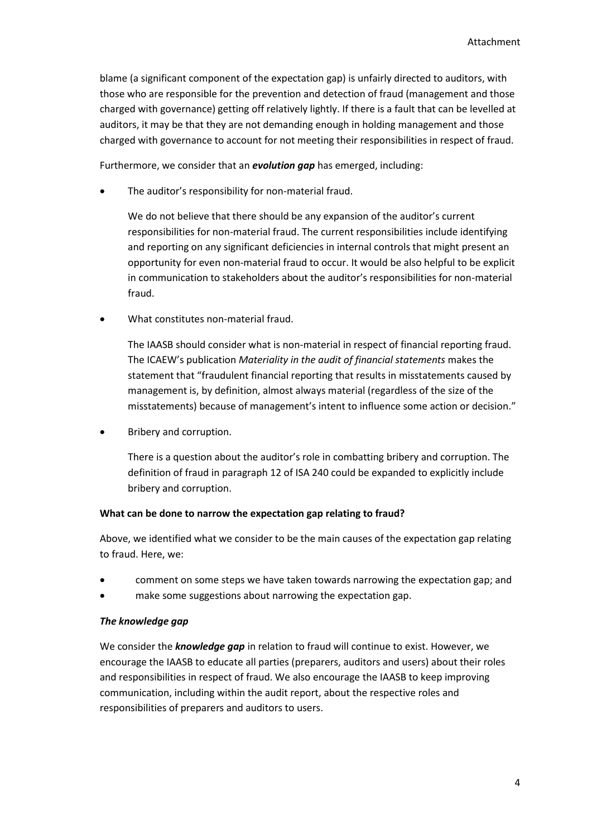blame (a significant component of the expectation gap) is unfairly directed to auditors, with those who are responsible for the prevention and detection of fraud (management and those charged with governance) getting off relatively lightly. If there is a fault that can be levelled at auditors, it may be that they are not demanding enough in holding management and those charged with governance to account for not meeting their responsibilities in respect of fraud.

Furthermore, we consider that an *evolution gap* has emerged, including:

The auditor's responsibility for non-material fraud.

We do not believe that there should be any expansion of the auditor's current responsibilities for non-material fraud. The current responsibilities include identifying and reporting on any significant deficiencies in internal controls that might present an opportunity for even non-material fraud to occur. It would be also helpful to be explicit in communication to stakeholders about the auditor's responsibilities for non-material fraud.

What constitutes non-material fraud.

The IAASB should consider what is non-material in respect of financial reporting fraud. The ICAEW's publication *Materiality in the audit of financial statements* makes the statement that "fraudulent financial reporting that results in misstatements caused by management is, by definition, almost always material (regardless of the size of the misstatements) because of management's intent to influence some action or decision."

Bribery and corruption.

There is a question about the auditor's role in combatting bribery and corruption. The definition of fraud in paragraph 12 of ISA 240 could be expanded to explicitly include bribery and corruption.

## **What can be done to narrow the expectation gap relating to fraud?**

Above, we identified what we consider to be the main causes of the expectation gap relating to fraud. Here, we:

- comment on some steps we have taken towards narrowing the expectation gap; and
- make some suggestions about narrowing the expectation gap.

## *The knowledge gap*

We consider the *knowledge gap* in relation to fraud will continue to exist. However, we encourage the IAASB to educate all parties (preparers, auditors and users) about their roles and responsibilities in respect of fraud. We also encourage the IAASB to keep improving communication, including within the audit report, about the respective roles and responsibilities of preparers and auditors to users.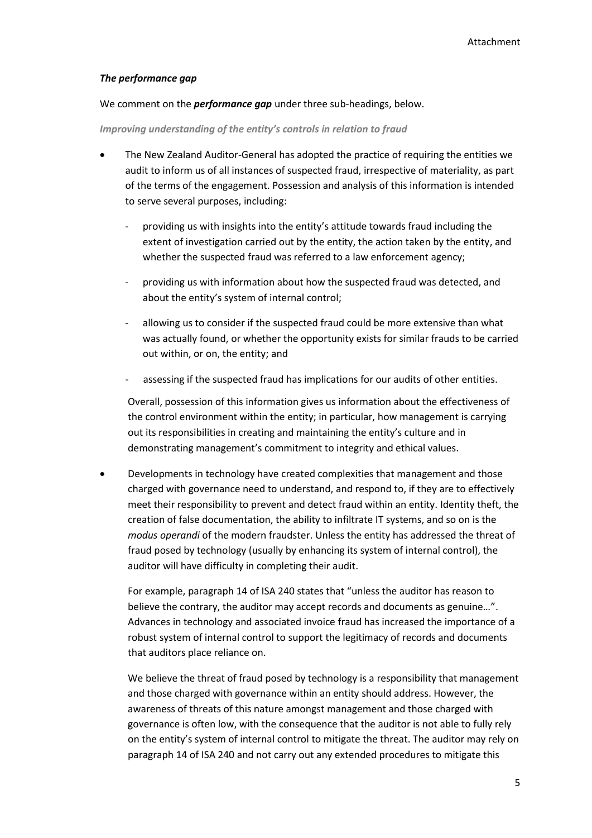#### *The performance gap*

We comment on the *performance gap* under three sub-headings, below.

#### *Improving understanding of the entity's controls in relation to fraud*

- The New Zealand Auditor-General has adopted the practice of requiring the entities we audit to inform us of all instances of suspected fraud, irrespective of materiality, as part of the terms of the engagement. Possession and analysis of this information is intended to serve several purposes, including:
	- providing us with insights into the entity's attitude towards fraud including the extent of investigation carried out by the entity, the action taken by the entity, and whether the suspected fraud was referred to a law enforcement agency;
	- providing us with information about how the suspected fraud was detected, and about the entity's system of internal control;
	- allowing us to consider if the suspected fraud could be more extensive than what was actually found, or whether the opportunity exists for similar frauds to be carried out within, or on, the entity; and
	- assessing if the suspected fraud has implications for our audits of other entities.

Overall, possession of this information gives us information about the effectiveness of the control environment within the entity; in particular, how management is carrying out its responsibilities in creating and maintaining the entity's culture and in demonstrating management's commitment to integrity and ethical values.

 Developments in technology have created complexities that management and those charged with governance need to understand, and respond to, if they are to effectively meet their responsibility to prevent and detect fraud within an entity. Identity theft, the creation of false documentation, the ability to infiltrate IT systems, and so on is the *modus operandi* of the modern fraudster. Unless the entity has addressed the threat of fraud posed by technology (usually by enhancing its system of internal control), the auditor will have difficulty in completing their audit.

For example, paragraph 14 of ISA 240 states that "unless the auditor has reason to believe the contrary, the auditor may accept records and documents as genuine…". Advances in technology and associated invoice fraud has increased the importance of a robust system of internal control to support the legitimacy of records and documents that auditors place reliance on.

We believe the threat of fraud posed by technology is a responsibility that management and those charged with governance within an entity should address. However, the awareness of threats of this nature amongst management and those charged with governance is often low, with the consequence that the auditor is not able to fully rely on the entity's system of internal control to mitigate the threat. The auditor may rely on paragraph 14 of ISA 240 and not carry out any extended procedures to mitigate this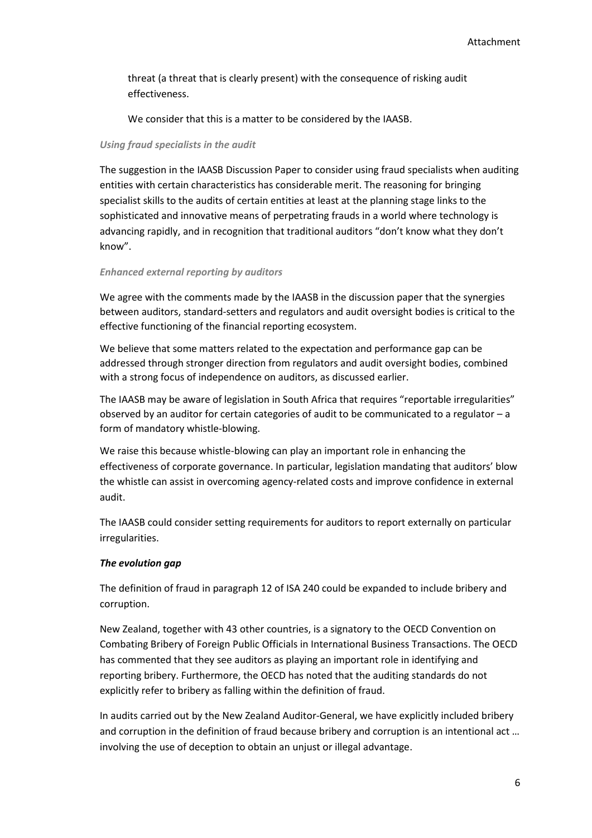threat (a threat that is clearly present) with the consequence of risking audit effectiveness.

We consider that this is a matter to be considered by the IAASB.

#### *Using fraud specialists in the audit*

The suggestion in the IAASB Discussion Paper to consider using fraud specialists when auditing entities with certain characteristics has considerable merit. The reasoning for bringing specialist skills to the audits of certain entities at least at the planning stage links to the sophisticated and innovative means of perpetrating frauds in a world where technology is advancing rapidly, and in recognition that traditional auditors "don't know what they don't know".

#### *Enhanced external reporting by auditors*

We agree with the comments made by the IAASB in the discussion paper that the synergies between auditors, standard-setters and regulators and audit oversight bodies is critical to the effective functioning of the financial reporting ecosystem.

We believe that some matters related to the expectation and performance gap can be addressed through stronger direction from regulators and audit oversight bodies, combined with a strong focus of independence on auditors, as discussed earlier.

The IAASB may be aware of legislation in South Africa that requires "reportable irregularities" observed by an auditor for certain categories of audit to be communicated to a regulator – a form of mandatory whistle-blowing.

We raise this because whistle-blowing can play an important role in enhancing the effectiveness of corporate governance. In particular, legislation mandating that auditors' blow the whistle can assist in overcoming agency-related costs and improve confidence in external audit.

The IAASB could consider setting requirements for auditors to report externally on particular irregularities.

## *The evolution gap*

The definition of fraud in paragraph 12 of ISA 240 could be expanded to include bribery and corruption.

New Zealand, together with 43 other countries, is a signatory to the OECD Convention on Combating Bribery of Foreign Public Officials in International Business Transactions. The OECD has commented that they see auditors as playing an important role in identifying and reporting bribery. Furthermore, the OECD has noted that the auditing standards do not explicitly refer to bribery as falling within the definition of fraud.

In audits carried out by the New Zealand Auditor-General, we have explicitly included bribery and corruption in the definition of fraud because bribery and corruption is an intentional act … involving the use of deception to obtain an unjust or illegal advantage.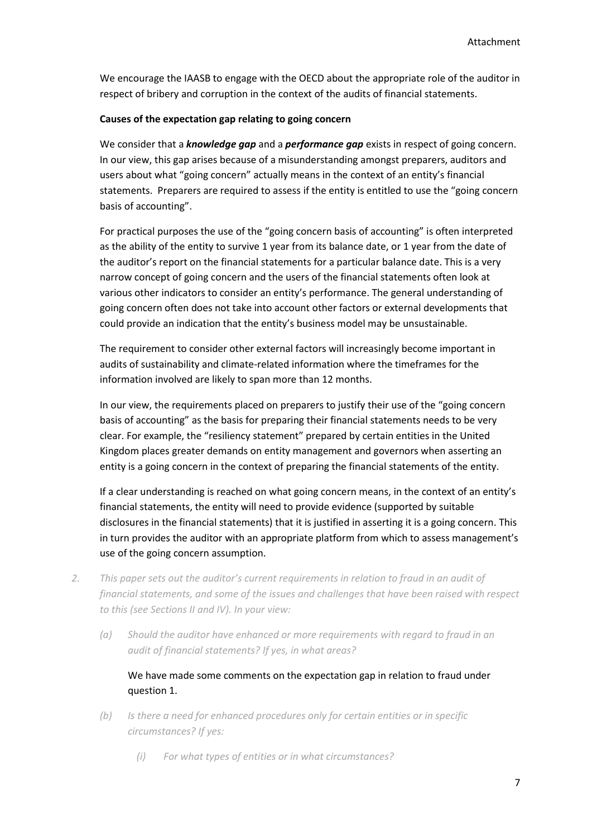We encourage the IAASB to engage with the OECD about the appropriate role of the auditor in respect of bribery and corruption in the context of the audits of financial statements.

#### **Causes of the expectation gap relating to going concern**

We consider that a *knowledge gap* and a *performance gap* exists in respect of going concern. In our view, this gap arises because of a misunderstanding amongst preparers, auditors and users about what "going concern" actually means in the context of an entity's financial statements. Preparers are required to assess if the entity is entitled to use the "going concern basis of accounting".

For practical purposes the use of the "going concern basis of accounting" is often interpreted as the ability of the entity to survive 1 year from its balance date, or 1 year from the date of the auditor's report on the financial statements for a particular balance date. This is a very narrow concept of going concern and the users of the financial statements often look at various other indicators to consider an entity's performance. The general understanding of going concern often does not take into account other factors or external developments that could provide an indication that the entity's business model may be unsustainable.

The requirement to consider other external factors will increasingly become important in audits of sustainability and climate-related information where the timeframes for the information involved are likely to span more than 12 months.

In our view, the requirements placed on preparers to justify their use of the "going concern basis of accounting" as the basis for preparing their financial statements needs to be very clear. For example, the "resiliency statement" prepared by certain entities in the United Kingdom places greater demands on entity management and governors when asserting an entity is a going concern in the context of preparing the financial statements of the entity.

If a clear understanding is reached on what going concern means, in the context of an entity's financial statements, the entity will need to provide evidence (supported by suitable disclosures in the financial statements) that it is justified in asserting it is a going concern. This in turn provides the auditor with an appropriate platform from which to assess management's use of the going concern assumption.

- *2. This paper sets out the auditor's current requirements in relation to fraud in an audit of financial statements, and some of the issues and challenges that have been raised with respect to this (see Sections II and IV). In your view:*
	- *(a) Should the auditor have enhanced or more requirements with regard to fraud in an audit of financial statements? If yes, in what areas?*

We have made some comments on the expectation gap in relation to fraud under question 1.

- *(b) Is there a need for enhanced procedures only for certain entities or in specific circumstances? If yes:*
	- *(i) For what types of entities or in what circumstances?*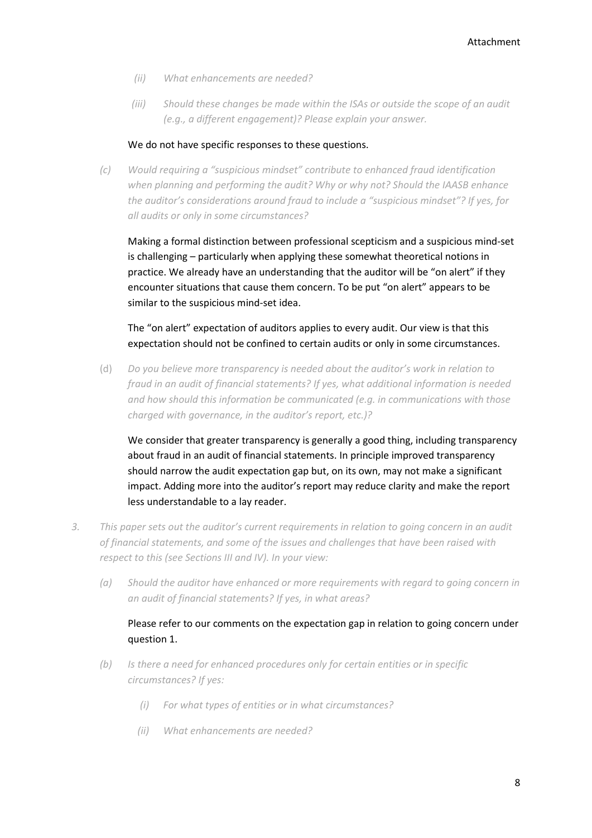- *(ii) What enhancements are needed?*
- *(iii) Should these changes be made within the ISAs or outside the scope of an audit (e.g., a different engagement)? Please explain your answer.*

#### We do not have specific responses to these questions.

*(c) Would requiring a "suspicious mindset" contribute to enhanced fraud identification when planning and performing the audit? Why or why not? Should the IAASB enhance the auditor's considerations around fraud to include a "suspicious mindset"? If yes, for all audits or only in some circumstances?*

Making a formal distinction between professional scepticism and a suspicious mind-set is challenging – particularly when applying these somewhat theoretical notions in practice. We already have an understanding that the auditor will be "on alert" if they encounter situations that cause them concern. To be put "on alert" appears to be similar to the suspicious mind-set idea.

The "on alert" expectation of auditors applies to every audit. Our view is that this expectation should not be confined to certain audits or only in some circumstances.

(d) *Do you believe more transparency is needed about the auditor's work in relation to fraud in an audit of financial statements? If yes, what additional information is needed and how should this information be communicated (e.g. in communications with those charged with governance, in the auditor's report, etc.)?*

We consider that greater transparency is generally a good thing, including transparency about fraud in an audit of financial statements. In principle improved transparency should narrow the audit expectation gap but, on its own, may not make a significant impact. Adding more into the auditor's report may reduce clarity and make the report less understandable to a lay reader.

- *3. This paper sets out the auditor's current requirements in relation to going concern in an audit of financial statements, and some of the issues and challenges that have been raised with respect to this (see Sections III and IV). In your view:*
	- *(a) Should the auditor have enhanced or more requirements with regard to going concern in an audit of financial statements? If yes, in what areas?*

# Please refer to our comments on the expectation gap in relation to going concern under question 1.

- *(b) Is there a need for enhanced procedures only for certain entities or in specific circumstances? If yes:*
	- *(i) For what types of entities or in what circumstances?*
	- *(ii) What enhancements are needed?*